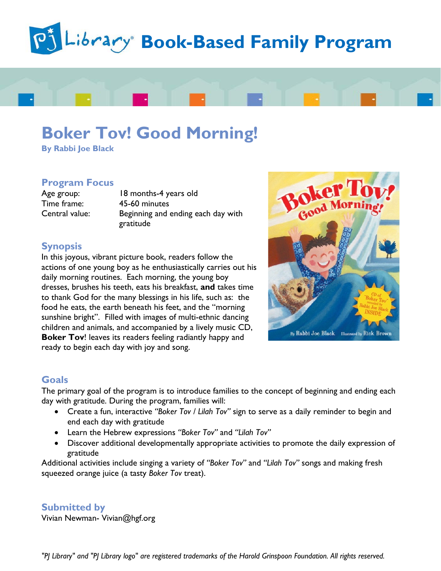



**By Rabbi Joe Black**

#### **Program Focus**

Time frame: 45-60 minutes

Age group: 18 months-4 years old Central value: Beginning and ending each day with gratitude

# **Synopsis**

In this joyous, vibrant picture book, readers follow the actions of one young boy as he enthusiastically carries out his daily morning routines. Each morning, the young boy dresses, brushes his teeth, eats his breakfast, **and** takes time to thank God for the many blessings in his life, such as: the food he eats, the earth beneath his feet, and the "morning sunshine bright". Filled with images of multi-ethnic dancing children and animals, and accompanied by a lively music CD, **Boker Tov**! leaves its readers feeling radiantly happy and ready to begin each day with joy and song.



### **Goals**

The primary goal of the program is to introduce families to the concept of beginning and ending each day with gratitude. During the program, families will:

- Create a fun, interactive *"Boker Tov / Lilah Tov"* sign to serve as a daily reminder to begin and end each day with gratitude
- Learn the Hebrew expressions *"Boker Tov"* and *"Lilah Tov"*
- Discover additional developmentally appropriate activities to promote the daily expression of gratitude

Additional activities include singing a variety of *"Boker Tov"* and *"Lilah Tov"* songs and making fresh squeezed orange juice (a tasty *Boker Tov* treat).

# **Submitted by**

Vivian Newman- Vivian@hgf.org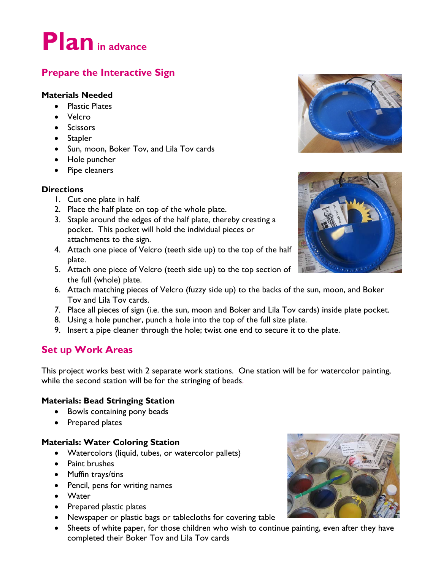# **Planin advance**

# **Prepare the Interactive Sign**

# **Materials Needed**

- Plastic Plates
- Velcro
- Scissors
- Stapler
- Sun, moon, Boker Tov, and Lila Tov cards
- Hole puncher
- Pipe cleaners

### **Directions**

- 1. Cut one plate in half.
- 2. Place the half plate on top of the whole plate.
- 3. Staple around the edges of the half plate, thereby creating a pocket. This pocket will hold the individual pieces or attachments to the sign.
- 4. Attach one piece of Velcro (teeth side up) to the top of the half plate.
- 5. Attach one piece of Velcro (teeth side up) to the top section of the full (whole) plate.
- 6. Attach matching pieces of Velcro (fuzzy side up) to the backs of the sun, moon, and Boker Tov and Lila Tov cards.
- 7. Place all pieces of sign (i.e. the sun, moon and Boker and Lila Tov cards) inside plate pocket.
- 8. Using a hole puncher, punch a hole into the top of the full size plate.
- 9. Insert a pipe cleaner through the hole; twist one end to secure it to the plate.

# **Set up Work Areas**

This project works best with 2 separate work stations. One station will be for watercolor painting, while the second station will be for the stringing of beads.

### **Materials: Bead Stringing Station**

- Bowls containing pony beads
- Prepared plates

### **Materials: Water Coloring Station**

- Watercolors (liquid, tubes, or watercolor pallets)
- Paint brushes
- Muffin trays/tins
- Pencil, pens for writing names
- Water
- Prepared plastic plates
- Newspaper or plastic bags or tablecloths for covering table
- Sheets of white paper, for those children who wish to continue painting, even after they have completed their Boker Tov and Lila Tov cards





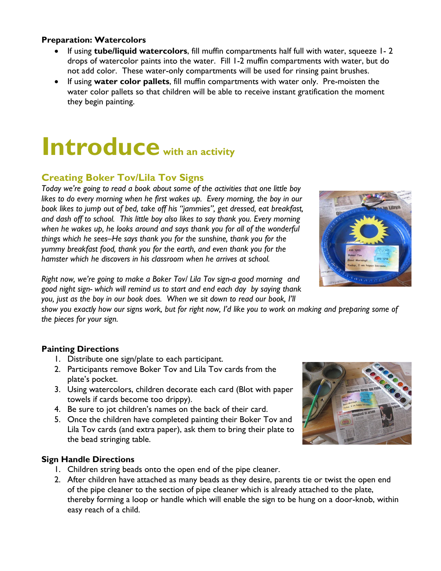#### **Preparation: Watercolors**

- If using **tube/liquid watercolors**, fill muffin compartments half full with water, squeeze 1- 2 drops of watercolor paints into the water. Fill 1-2 muffin compartments with water, but do not add color. These water-only compartments will be used for rinsing paint brushes.
- If using **water color pallets**, fill muffin compartments with water only. Pre-moisten the water color pallets so that children will be able to receive instant gratification the moment they begin painting.

# **Introduce with an activity**

# **Creating Boker Tov/Lila Tov Signs**

*Today we're going to read a book about some of the activities that one little boy*  likes to do every morning when he first wakes up. Every morning, the boy in our *book likes to jump out of bed, take off his "jammies", get dressed, eat breakfast, and dash off to school. This little boy also likes to say thank you. Every morning when he wakes up, he looks around and says thank you for all of the wonderful things which he sees–He says thank you for the sunshine, thank you for the yummy breakfast food, thank you for the earth, and even thank you for the hamster which he discovers in his classroom when he arrives at school.* 



*Right now, we're going to make a Boker Tov/ Lila Tov sign-a good morning and good night sign- which will remind us to start and end each day by saying thank you, just as the boy in our book does. When we sit down to read our book, I'll* 

*show you exactly how our signs work, but for right now, I'd like you to work on making and preparing some of the pieces for your sign.*

### **Painting Directions**

- 1. Distribute one sign/plate to each participant.
- 2. Participants remove Boker Tov and Lila Tov cards from the plate's pocket.
- 3. Using watercolors, children decorate each card (Blot with paper towels if cards become too drippy).
- 4. Be sure to jot children's names on the back of their card.
- 5. Once the children have completed painting their Boker Tov and Lila Tov cards (and extra paper), ask them to bring their plate to the bead stringing table.

### **Sign Handle Directions**

- 1. Children string beads onto the open end of the pipe cleaner.
- 2. After children have attached as many beads as they desire, parents tie or twist the open end of the pipe cleaner to the section of pipe cleaner which is already attached to the plate, thereby forming a loop or handle which will enable the sign to be hung on a door-knob, within easy reach of a child.

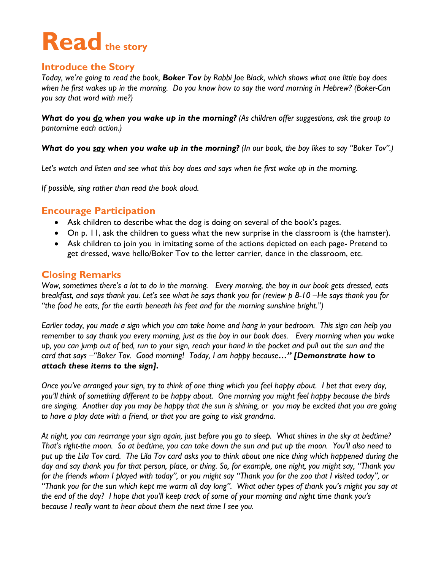# Read the story

# **Introduce the Story**

*Today, we're going to read the book, Boker Tov by Rabbi Joe Black, which shows what one little boy does when he first wakes up in the morning. Do you know how to say the word morning in Hebrew? (Boker-Can you say that word with me?)*

*What do you do when you wake up in the morning? (As children offer suggestions, ask the group to pantomime each action.)*

*What do you say when you wake up in the morning? (In our book, the boy likes to say "Boker Tov".)*

*Let's watch and listen and see what this boy does and says when he first wake up in the morning.*

*If possible, sing rather than read the book aloud.*

# **Encourage Participation**

- Ask children to describe what the dog is doing on several of the book's pages.
- On p. 11, ask the children to guess what the new surprise in the classroom is (the hamster).
- Ask children to join you in imitating some of the actions depicted on each page- Pretend to get dressed, wave hello/Boker Tov to the letter carrier, dance in the classroom, etc.

# **Closing Remarks**

*Wow, sometimes there's a lot to do in the morning. Every morning, the boy in our book gets dressed, eats breakfast, and says thank you. Let's see what he says thank you for (review p 8-10 –He says thank you for "the food he eats, for the earth beneath his feet and for the morning sunshine bright.")*

*Earlier today, you made a sign which you can take home and hang in your bedroom. This sign can help you remember to say thank you every morning, just as the boy in our book does. Every morning when you wake up, you can jump out of bed, run to your sign, reach your hand in the pocket and pull out the sun and the card that says –"Boker Tov. Good morning! Today, I am happy because…" [Demonstrate how to attach these items to the sign].* 

*Once you've arranged your sign, try to think of one thing which you feel happy about. I bet that every day, you'll think of something different to be happy about. One morning you might feel happy because the birds are singing. Another day you may be happy that the sun is shining, or you may be excited that you are going to have a play date with a friend, or that you are going to visit grandma.*

*At night, you can rearrange your sign again, just before you go to sleep. What shines in the sky at bedtime? That's right-the moon. So at bedtime, you can take down the sun and put up the moon. You'll also need to put up the Lila Tov card. The Lila Tov card asks you to think about one nice thing which happened during the day and say thank you for that person, place, or thing. So, for example, one night, you might say, "Thank you for the friends whom I played with today", or you might say "Thank you for the zoo that I visited today", or "Thank you for the sun which kept me warm all day long". What other types of thank you's might you say at the end of the day? I hope that you'll keep track of some of your morning and night time thank you's because I really want to hear about them the next time I see you.*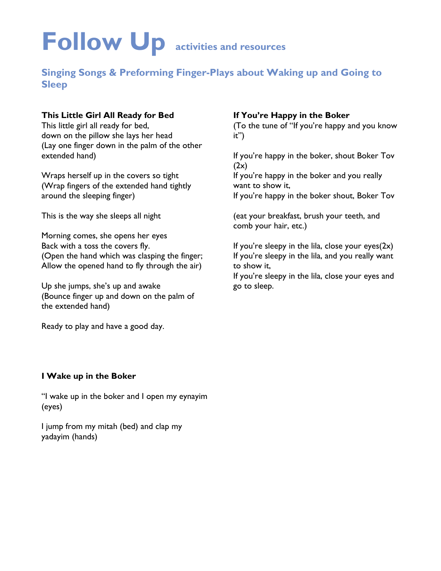# **Follow Up activities and resources**

# **Singing Songs & Preforming Finger-Plays about Waking up and Going to Sleep**

### **This Little Girl All Ready for Bed**

This little girl all ready for bed, down on the pillow she lays her head (Lay one finger down in the palm of the other extended hand)

Wraps herself up in the covers so tight (Wrap fingers of the extended hand tightly around the sleeping finger)

This is the way she sleeps all night

Morning comes, she opens her eyes Back with a toss the covers fly. (Open the hand which was clasping the finger; Allow the opened hand to fly through the air)

Up she jumps, she's up and awake (Bounce finger up and down on the palm of the extended hand)

Ready to play and have a good day.

# **If You're Happy in the Boker**

(To the tune of "If you're happy and you know it")

If you're happy in the boker, shout Boker Tov  $(2x)$ 

If you're happy in the boker and you really want to show it,

If you're happy in the boker shout, Boker Tov

(eat your breakfast, brush your teeth, and comb your hair, etc.)

If you're sleepy in the lila, close your eyes $(2x)$ If you're sleepy in the lila, and you really want to show it,

If you're sleepy in the lila, close your eyes and go to sleep.

#### **I Wake up in the Boker**

"I wake up in the boker and I open my eynayim (eyes)

I jump from my mitah (bed) and clap my yadayim (hands)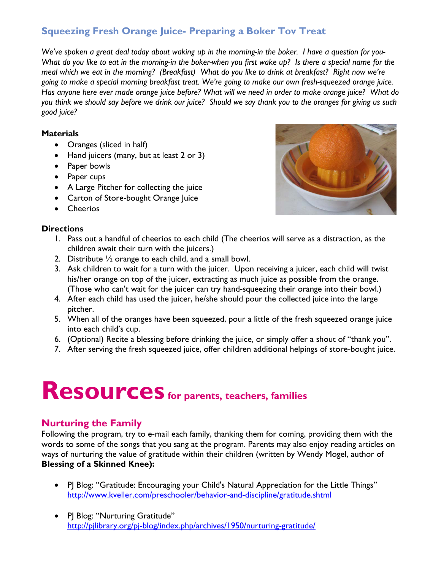# **Squeezing Fresh Orange Juice- Preparing a Boker Tov Treat**

*We've spoken a great deal today about waking up in the morning-in the boker. I have a question for you-What do you like to eat in the morning-in the boker-when you first wake up? Is there a special name for the meal which we eat in the morning? (Breakfast) What do you like to drink at breakfast? Right now we're going to make a special morning breakfast treat. We're going to make our own fresh-squeezed orange juice. Has anyone here ever made orange juice before? What will we need in order to make orange juice? What do you think we should say before we drink our juice? Should we say thank you to the oranges for giving us such good juice?*

### **Materials**

- Oranges (sliced in half)
- Hand juicers (many, but at least 2 or 3)
- Paper bowls
- Paper cups
- A Large Pitcher for collecting the juice
- Carton of Store-bought Orange Juice
- Cheerios

#### **Directions**

- 1. Pass out a handful of cheerios to each child (The cheerios will serve as a distraction, as the children await their turn with the juicers.)
- 2. Distribute ½ orange to each child, and a small bowl.
- 3. Ask children to wait for a turn with the juicer. Upon receiving a juicer, each child will twist his/her orange on top of the juicer, extracting as much juice as possible from the orange. (Those who can't wait for the juicer can try hand-squeezing their orange into their bowl.)
- 4. After each child has used the juicer, he/she should pour the collected juice into the large pitcher.
- 5. When all of the oranges have been squeezed, pour a little of the fresh squeezed orange juice into each child's cup.
- 6. (Optional) Recite a blessing before drinking the juice, or simply offer a shout of "thank you".
- 7. After serving the fresh squeezed juice, offer children additional helpings of store-bought juice.

# **Resources for parents, teachers, families**

# **Nurturing the Family**

Following the program, try to e-mail each family, thanking them for coming, providing them with the words to some of the songs that you sang at the program. Parents may also enjoy reading articles on ways of nurturing the value of gratitude within their children (written by Wendy Mogel, author of **Blessing of a Skinned Knee):**

- P Blog: "Gratitude: Encouraging your Child's Natural Appreciation for the Little Things" <http://www.kveller.com/preschooler/behavior-and-discipline/gratitude.shtml>
- PJ Blog: "Nurturing Gratitude" <http://pjlibrary.org/pj-blog/index.php/archives/1950/nurturing-gratitude/>